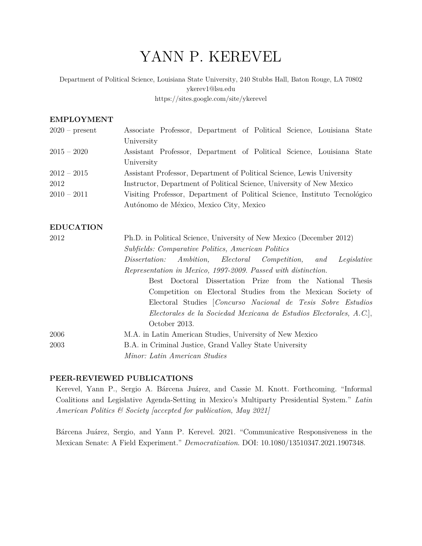# YANN P. KEREVEL

 Department of Political Science, Louisiana State University, 240 Stubbs Hall, Baton Rouge, LA 70802 [ykerev1@lsu.edu](mailto:ykerev1@lsu.edu) <https://sites.google.com/site/ykerevel>

#### **EMPLOYMENT**

| $2020$ – present | Associate Professor, Department of Political Science, Louisiana State      |
|------------------|----------------------------------------------------------------------------|
|                  | University                                                                 |
| $2015 - 2020$    | Assistant Professor, Department of Political Science, Louisiana State      |
|                  | University                                                                 |
| $2012 - 2015$    | Assistant Professor, Department of Political Science, Lewis University     |
| 2012             | Instructor, Department of Political Science, University of New Mexico      |
| $2010 - 2011$    | Visiting Professor, Department of Political Science, Instituto Tecnológico |
|                  | Autónomo de México, Mexico City, Mexico                                    |

# **EDUCATION**

| 2012 | Ph.D. in Political Science, University of New Mexico (December 2012) |
|------|----------------------------------------------------------------------|
|      | <i>Subfields: Comparative Politics, American Politics</i>            |
|      | Dissertation: Ambition, Electoral Competition, and<br>Legislative    |
|      | Representation in Mexico, 1997-2009. Passed with distinction.        |
|      | Best Doctoral Dissertation Prize from the National Thesis            |
|      | Competition on Electoral Studies from the Mexican Society of         |
|      | Electoral Studies   Concurso Nacional de Tesis Sobre Estudios        |
|      | Electorales de la Sociedad Mexicana de Estudios Electorales, A.C.,   |
|      | October 2013.                                                        |
| 2006 | M.A. in Latin American Studies, University of New Mexico             |
| 2003 | B.A. in Criminal Justice, Grand Valley State University              |
|      | Minor: Latin American Studies                                        |

#### **PEER-REVIEWED PUBLICATIONS**

 Kerevel, Yann P., Sergio A. Bárcena Juárez, and Cassie M. Knott. Forthcoming. "Informal Coalitions and Legislative Agenda-Setting in Mexico's Multiparty Presidential System." *Latin American Politics & Society [accepted for publication, May 2021]* 

 Bárcena Juárez, Sergio, and Yann P. Kerevel. 2021. "Communicative Responsiveness in the Mexican Senate: A Field Experiment." *Democratization*. DOI: 10.1080/13510347.2021.1907348.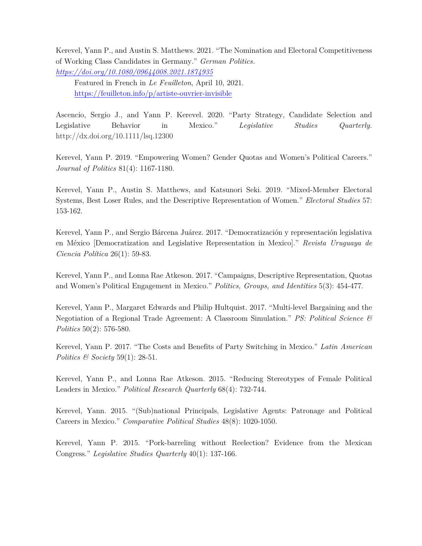Kerevel, Yann P., and Austin S. Matthews. 2021. "The Nomination and Electoral Competitiveness of Working Class Candidates in Germany." *German Politics. <https://doi.org/10.1080/09644008.2021.1874935>*

Featured in French in *Le Feuilleton*, April 10, 2021. <https://feuilleton.info/p/artiste-ouvrier-invisible>

 Ascencio, Sergio J., and Yann P. Kerevel. 2020. "Party Strategy, Candidate Selection and Legislative Behavior in Mexico." *Legislative Studies Quarterly.*  <http://dx.doi.org/10.1111/lsq.12300>

 Kerevel, Yann P. 2019. "Empowering Women? Gender Quotas and Women's Political Careers."  *Journal of Politics* 81(4): 1167-1180.

 Kerevel, Yann P., Austin S. Matthews, and Katsunori Seki. 2019. "Mixed-Member Electoral Systems, Best Loser Rules, and the Descriptive Representation of Women." *Electoral Studies* 57: 153-162.

 Kerevel, Yann P., and Sergio Bárcena Juárez. 2017. "Democratización y representación legislativa  en México [Democratization and Legislative Representation in Mexico]." *Revista Uruguaya de Ciencia Política* 26(1): 59-83.

 Kerevel, Yann P., and Lonna Rae Atkeson. 2017. "Campaigns, Descriptive Representation, Quotas  and Women's Political Engagement in Mexico." *Politics, Groups, and Identities* 5(3): 454-477.

 Kerevel, Yann P., Margaret Edwards and Philip Hultquist. 2017. "Multi-level Bargaining and the Negotiation of a Regional Trade Agreement: A Classroom Simulation." *PS: Political Science & Politics* 50(2): 576-580.

 Kerevel, Yann P. 2017. "The Costs and Benefits of Party Switching in Mexico." *Latin American Politics & Society* 59(1): 28-51.

 Kerevel, Yann P., and Lonna Rae Atkeson. 2015. "Reducing Stereotypes of Female Political Leaders in Mexico." *Political Research Quarterly* 68(4): 732-744.

 Kerevel, Yann. 2015. "(Sub)national Principals, Legislative Agents: Patronage and Political Careers in Mexico." *Comparative Political Studies* 48(8): 1020-1050.

 Kerevel, Yann P. 2015. "Pork-barreling without Reelection? Evidence from the Mexican Congress." *Legislative Studies Quarterly* 40(1): 137-166.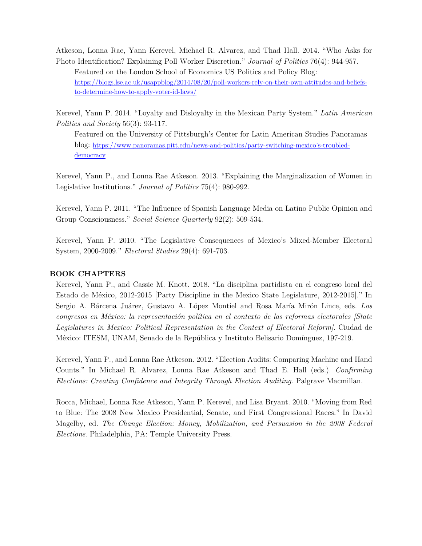Atkeson, Lonna Rae, Yann Kerevel, Michael R. Alvarez, and Thad Hall. 2014. "Who Asks for Photo Identification? Explaining Poll Worker Discretion." *Journal of Politics* 76(4): 944-957. Featured on the London School of Economics US Politics and Policy Blog: <https://blogs.lse.ac.uk/usappblog/2014/08/20/poll-workers-rely-on-their-own-attitudes-and-beliefs>to-determine-how-to-apply-voter-id-laws/

 Kerevel, Yann P. 2014. "Loyalty and Disloyalty in the Mexican Party System." *Latin American Politics and Society* 56(3): 93-117.

 Featured on the University of Pittsburgh's Center for Latin American Studies Panoramas blog: [https://www.panoramas.pitt.edu/news-and-politics/party-switching-mexico's-troubled](https://www.panoramas.pitt.edu/news-and-politics/party-switching-mexico�s-troubled)democracy

 Kerevel, Yann P., and Lonna Rae Atkeson. 2013. "Explaining the Marginalization of Women in  Legislative Institutions." *Journal of Politics* 75(4): 980-992.

 Kerevel, Yann P. 2011. "The Influence of Spanish Language Media on Latino Public Opinion and Group Consciousness." *Social Science Quarterly* 92(2): 509-534.

 Kerevel, Yann P. 2010. "The Legislative Consequences of Mexico's Mixed-Member Electoral System, 2000-2009." *Electoral Studies* 29(4): 691-703.

#### **BOOK CHAPTERS**

 Kerevel, Yann P., and Cassie M. Knott. 2018. "La disciplina partidista en el congreso local del Estado de México, 2012-2015 [Party Discipline in the Mexico State Legislature, 2012-2015]." In Sergio A. Bárcena Juárez, Gustavo A. López Montiel and Rosa María Mirón Lince, eds. *Los congresos en México: la representación política en el contexto de las reformas electorales [State Legislatures in Mexico: Political Representation in the Context of Electoral Reform]*. Ciudad de México: ITESM, UNAM, Senado de la República y Instituto Belisario Domínguez, 197-219.

 Kerevel, Yann P., and Lonna Rae Atkeson. 2012. "Election Audits: Comparing Machine and Hand Counts." In Michael R. Alvarez, Lonna Rae Atkeson and Thad E. Hall (eds.). *Confirming Elections: Creating Confidence and Integrity Through Election Auditing.* Palgrave Macmillan.

 Rocca, Michael, Lonna Rae Atkeson, Yann P. Kerevel, and Lisa Bryant. 2010. "Moving from Red to Blue: The 2008 New Mexico Presidential, Senate, and First Congressional Races." In David Magelby, ed. *The Change Election: Money, Mobilization, and Persuasion in the 2008 Federal Elections*. Philadelphia, PA: Temple University Press.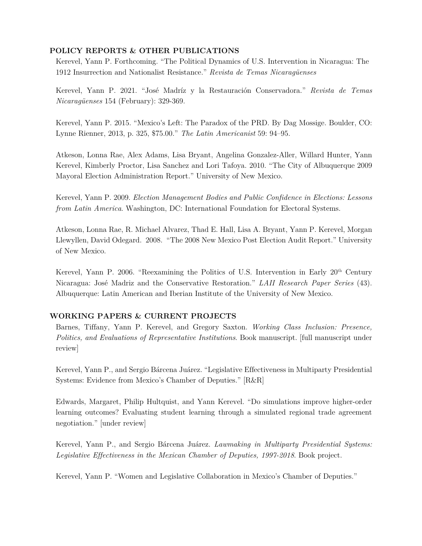#### **POLICY REPORTS & OTHER PUBLICATIONS**

 Kerevel, Yann P. Forthcoming. "The Political Dynamics of U.S. Intervention in Nicaragua: The  1912 Insurrection and Nationalist Resistance." *Revista de Temas Nicaragüenses* 

 Kerevel, Yann P. 2021. "José Madríz y la Restauración Conservadora." *Revista de Temas Nicaragüenses* 154 (February): 329-369.

 Kerevel, Yann P. 2015. "Mexico's Left: The Paradox of the PRD. By Dag Mossige. Boulder, CO: Lynne Rienner, 2013, p. 325, \$75.00." *The Latin Americanist* 59: 94–95.

 Atkeson, Lonna Rae, Alex Adams, Lisa Bryant, Angelina Gonzalez-Aller, Willard Hunter, Yann Kerevel, Kimberly Proctor, Lisa Sanchez and Lori Tafoya. 2010. "The City of Albuquerque 2009 Mayoral Election Administration Report." University of New Mexico.

 Kerevel, Yann P. 2009. *Election Management Bodies and Public Confidence in Elections: Lessons from Latin America*. Washington, DC: International Foundation for Electoral Systems.

 Atkeson, Lonna Rae, R. Michael Alvarez, Thad E. Hall, Lisa A. Bryant, Yann P. Kerevel, Morgan Llewyllen, David Odegard. 2008. "The 2008 New Mexico Post Election Audit Report." University of New Mexico.

Kerevel, Yann P. 2006. "Reexamining the Politics of U.S. Intervention in Early 20<sup>th</sup> Century Nicaragua: José Madriz and the Conservative Restoration." *LAII Research Paper Series* (43). Albuquerque: Latin American and Iberian Institute of the University of New Mexico.

#### **WORKING PAPERS & CURRENT PROJECTS**

 Barnes, Tiffany, Yann P. Kerevel, and Gregory Saxton. *Working Class Inclusion: Presence, Politics, and Evaluations of Representative Institutions*. Book manuscript. [full manuscript under review]

 Kerevel, Yann P., and Sergio Bárcena Juárez. "Legislative Effectiveness in Multiparty Presidential Systems: Evidence from Mexico's Chamber of Deputies." [R&R]

 Edwards, Margaret, Philip Hultquist, and Yann Kerevel. "Do simulations improve higher-order learning outcomes? Evaluating student learning through a simulated regional trade agreement negotiation." [under review]

 Kerevel, Yann P., and Sergio Bárcena Juárez. *Lawmaking in Multiparty Presidential Systems: Legislative Effectiveness in the Mexican Chamber of Deputies, 1997-2018*. Book project.

Kerevel, Yann P. "Women and Legislative Collaboration in Mexico's Chamber of Deputies."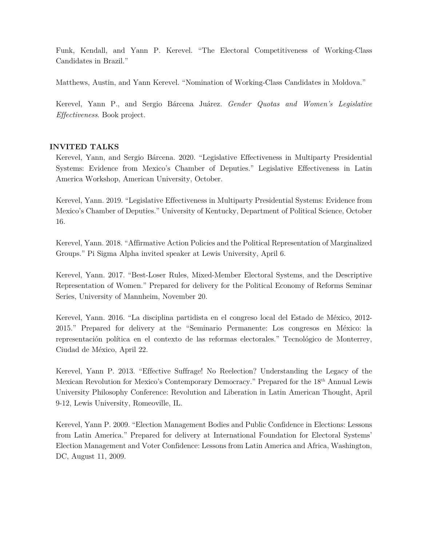Funk, Kendall, and Yann P. Kerevel. "The Electoral Competitiveness of Working-Class Candidates in Brazil."

Matthews, Austin, and Yann Kerevel. "Nomination of Working-Class Candidates in Moldova."

 Kerevel, Yann P., and Sergio Bárcena Juárez. *Gender Quotas and Women's Legislative Effectiveness*. Book project.

# **INVITED TALKS**

 Kerevel, Yann, and Sergio Bárcena. 2020. "Legislative Effectiveness in Multiparty Presidential Systems: Evidence from Mexico's Chamber of Deputies." Legislative Effectiveness in Latin America Workshop, American University, October.

 Kerevel, Yann. 2019. "Legislative Effectiveness in Multiparty Presidential Systems: Evidence from Mexico's Chamber of Deputies." University of Kentucky, Department of Political Science, October 16.

 Kerevel, Yann. 2018. "Affirmative Action Policies and the Political Representation of Marginalized Groups." Pi Sigma Alpha invited speaker at Lewis University, April 6.

 Kerevel, Yann. 2017. "Best-Loser Rules, Mixed-Member Electoral Systems, and the Descriptive Representation of Women." Prepared for delivery for the Political Economy of Reforms Seminar Series, University of Mannheim, November 20.

 Kerevel, Yann. 2016. "La disciplina partidista en el congreso local del Estado de México, 2012- representación política en el contexto de las reformas electorales." Tecnológico de Monterrey, Ciudad de México, April 22. 2015." Prepared for delivery at the "Seminario Permanente: Los congresos en México: la

 Kerevel, Yann P. 2013. "Effective Suffrage! No Reelection? Understanding the Legacy of the Mexican Revolution for Mexico's Contemporary Democracy." Prepared for the 18th Annual Lewis University Philosophy Conference: Revolution and Liberation in Latin American Thought, April 9-12, Lewis University, Romeoville, IL.

 Kerevel, Yann P. 2009. "Election Management Bodies and Public Confidence in Elections: Lessons from Latin America." Prepared for delivery at International Foundation for Electoral Systems' Election Management and Voter Confidence: Lessons from Latin America and Africa, Washington, DC, August 11, 2009.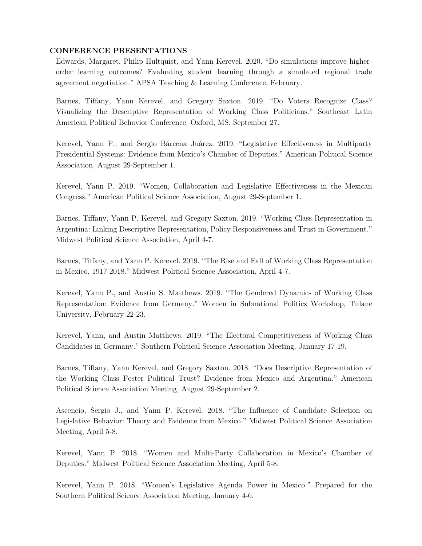#### **CONFERENCE PRESENTATIONS**

 Edwards, Margaret, Philip Hultquist, and Yann Kerevel. 2020. "Do simulations improve higher- order learning outcomes? Evaluating student learning through a simulated regional trade agreement negotiation." APSA Teaching & Learning Conference, February.

 Barnes, Tiffany, Yann Kerevel, and Gregory Saxton. 2019. "Do Voters Recognize Class? Visualizing the Descriptive Representation of Working Class Politicians." Southeast Latin American Political Behavior Conference, Oxford, MS, September 27.

 Kerevel, Yann P., and Sergio Bárcena Juárez. 2019. "Legislative Effectiveness in Multiparty Presidential Systems: Evidence from Mexico's Chamber of Deputies." American Political Science Association, August 29-September 1.

 Kerevel, Yann P. 2019. "Women, Collaboration and Legislative Effectiveness in the Mexican Congress." American Political Science Association, August 29-September 1.

 Barnes, Tiffany, Yann P. Kerevel, and Gregory Saxton. 2019. "Working Class Representation in Argentina: Linking Descriptive Representation, Policy Responsiveness and Trust in Government." Midwest Political Science Association, April 4-7.

 Barnes, Tiffany, and Yann P. Kerevel. 2019. "The Rise and Fall of Working Class Representation in Mexico, 1917-2018." Midwest Political Science Association, April 4-7.

 Kerevel, Yann P., and Austin S. Matthews. 2019. "The Gendered Dynamics of Working Class Representation: Evidence from Germany." Women in Subnational Politics Workshop, Tulane University, February 22-23.

 Kerevel, Yann, and Austin Matthews. 2019. "The Electoral Competitiveness of Working Class Candidates in Germany." Southern Political Science Association Meeting, January 17-19.

 Barnes, Tiffany, Yann Kerevel, and Gregory Saxton. 2018. "Does Descriptive Representation of the Working Class Foster Political Trust? Evidence from Mexico and Argentina." American Political Science Association Meeting, August 29-September 2.

 Ascencio, Sergio J., and Yann P. Kerevel. 2018. "The Influence of Candidate Selection on Legislative Behavior: Theory and Evidence from Mexico." Midwest Political Science Association Meeting, April 5-8.

 Kerevel, Yann P. 2018. "Women and Multi-Party Collaboration in Mexico's Chamber of Deputies." Midwest Political Science Association Meeting, April 5-8.

 Kerevel, Yann P. 2018. "Women's Legislative Agenda Power in Mexico." Prepared for the Southern Political Science Association Meeting, January 4-6.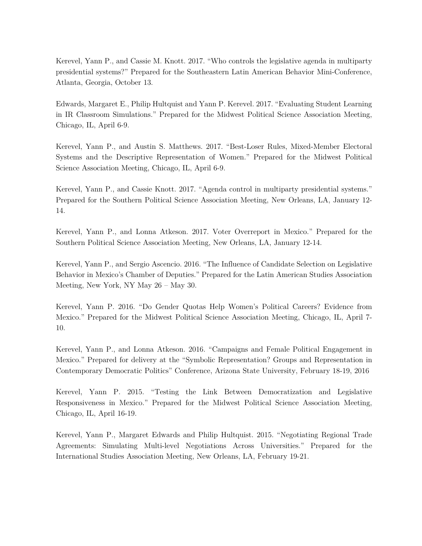Kerevel, Yann P., and Cassie M. Knott. 2017. "Who controls the legislative agenda in multiparty presidential systems?" Prepared for the Southeastern Latin American Behavior Mini-Conference, Atlanta, Georgia, October 13.

 Edwards, Margaret E., Philip Hultquist and Yann P. Kerevel. 2017. "Evaluating Student Learning in IR Classroom Simulations." Prepared for the Midwest Political Science Association Meeting, Chicago, IL, April 6-9.

 Kerevel, Yann P., and Austin S. Matthews. 2017. "Best-Loser Rules, Mixed-Member Electoral Systems and the Descriptive Representation of Women." Prepared for the Midwest Political Science Association Meeting, Chicago, IL, April 6-9.

 Kerevel, Yann P., and Cassie Knott. 2017. "Agenda control in multiparty presidential systems." Prepared for the Southern Political Science Association Meeting, New Orleans, LA, January 12- 14.

 Kerevel, Yann P., and Lonna Atkeson. 2017. Voter Overreport in Mexico." Prepared for the Southern Political Science Association Meeting, New Orleans, LA, January 12-14.

 Kerevel, Yann P., and Sergio Ascencio. 2016. "The Influence of Candidate Selection on Legislative Behavior in Mexico's Chamber of Deputies." Prepared for the Latin American Studies Association Meeting, New York, NY May 26 – May 30.

 Kerevel, Yann P. 2016. "Do Gender Quotas Help Women's Political Careers? Evidence from Mexico." Prepared for the Midwest Political Science Association Meeting, Chicago, IL, April 7- 10.

 Kerevel, Yann P., and Lonna Atkeson. 2016. "Campaigns and Female Political Engagement in Mexico." Prepared for delivery at the "Symbolic Representation? Groups and Representation in Contemporary Democratic Politics" Conference, Arizona State University, February 18-19, 2016

 Kerevel, Yann P. 2015. "Testing the Link Between Democratization and Legislative Responsiveness in Mexico." Prepared for the Midwest Political Science Association Meeting, Chicago, IL, April 16-19.

 Kerevel, Yann P., Margaret Edwards and Philip Hultquist. 2015. "Negotiating Regional Trade Agreements: Simulating Multi-level Negotiations Across Universities." Prepared for the International Studies Association Meeting, New Orleans, LA, February 19-21.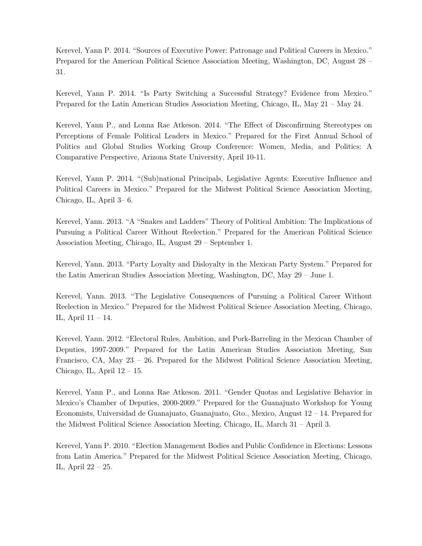Kerevel, Yann P. 2014. "Sources of Executive Power: Patronage and Political Careers in Mexico." Prepared for the American Political Science Association Meeting, Washington, DC, August 28 – 31.

 Kerevel, Yann P. 2014. "Is Party Switching a Successful Strategy? Evidence from Mexico." Prepared for the Latin American Studies Association Meeting, Chicago, IL, May 21 – May 24.

 Kerevel, Yann P., and Lonna Rae Atkeson. 2014. "The Effect of Disconfirming Stereotypes on Perceptions of Female Political Leaders in Mexico." Prepared for the First Annual School of Politics and Global Studies Working Group Conference: Women, Media, and Politics: A Comparative Perspective, Arizona State University, April 10-11.

 Kerevel, Yann P. 2014. "(Sub)national Principals, Legislative Agents: Executive Influence and Political Careers in Mexico." Prepared for the Midwest Political Science Association Meeting, Chicago, IL, April 3– 6.

 Kerevel, Yann. 2013. "A "Snakes and Ladders" Theory of Political Ambition: The Implications of Pursuing a Political Career Without Reelection." Prepared for the American Political Science Association Meeting, Chicago, IL, August 29 – September 1.

 Kerevel, Yann. 2013. "Party Loyalty and Disloyalty in the Mexican Party System." Prepared for the Latin American Studies Association Meeting, Washington, DC, May 29 – June 1.

 Kerevel, Yann. 2013. "The Legislative Consequences of Pursuing a Political Career Without Reelection in Mexico." Prepared for the Midwest Political Science Association Meeting, Chicago, IL, April 11 – 14.

 Kerevel, Yann. 2012. "Electoral Rules, Ambition, and Pork-Barreling in the Mexican Chamber of Francisco, CA, May 23 – 26. Prepared for the Midwest Political Science Association Meeting, Chicago, IL, April 12 – 15. Deputies, 1997-2009." Prepared for the Latin American Studies Association Meeting, San

 Kerevel, Yann P., and Lonna Rae Atkeson. 2011. "Gender Quotas and Legislative Behavior in Mexico's Chamber of Deputies, 2000-2009." Prepared for the Guanajuato Workshop for Young Economists, Universidad de Guanajuato, Guanajuato, Gto., Mexico, August 12 – 14. Prepared for the Midwest Political Science Association Meeting, Chicago, IL, March 31 – April 3.

 Kerevel, Yann P. 2010. "Election Management Bodies and Public Confidence in Elections: Lessons from Latin America." Prepared for the Midwest Political Science Association Meeting, Chicago, IL, April 22 – 25.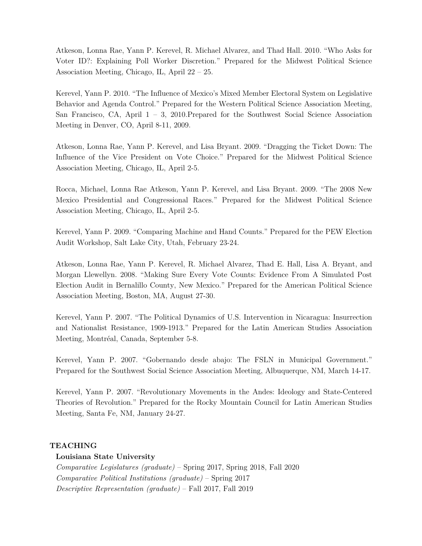Atkeson, Lonna Rae, Yann P. Kerevel, R. Michael Alvarez, and Thad Hall. 2010. "Who Asks for Voter ID?: Explaining Poll Worker Discretion." Prepared for the Midwest Political Science Association Meeting, Chicago, IL, April 22 – 25.

 Kerevel, Yann P. 2010. "The Influence of Mexico's Mixed Member Electoral System on Legislative Behavior and Agenda Control." Prepared for the Western Political Science Association Meeting, San Francisco, CA, April 1 – 3, 2010.Prepared for the Southwest Social Science Association Meeting in Denver, CO, April 8-11, 2009.

 Atkeson, Lonna Rae, Yann P. Kerevel, and Lisa Bryant. 2009. "Dragging the Ticket Down: The Association Meeting, Chicago, IL, April 2-5. Influence of the Vice President on Vote Choice." Prepared for the Midwest Political Science

 Rocca, Michael, Lonna Rae Atkeson, Yann P. Kerevel, and Lisa Bryant. 2009. "The 2008 New Mexico Presidential and Congressional Races." Prepared for the Midwest Political Science Association Meeting, Chicago, IL, April 2-5.

 Kerevel, Yann P. 2009. "Comparing Machine and Hand Counts." Prepared for the PEW Election Audit Workshop, Salt Lake City, Utah, February 23-24.

 Atkeson, Lonna Rae, Yann P. Kerevel, R. Michael Alvarez, Thad E. Hall, Lisa A. Bryant, and Morgan Llewellyn. 2008. "Making Sure Every Vote Counts: Evidence From A Simulated Post Election Audit in Bernalillo County, New Mexico." Prepared for the American Political Science Association Meeting, Boston, MA, August 27-30.

 Kerevel, Yann P. 2007. "The Political Dynamics of U.S. Intervention in Nicaragua: Insurrection and Nationalist Resistance, 1909-1913." Prepared for the Latin American Studies Association Meeting, Montréal, Canada, September 5-8.

 Kerevel, Yann P. 2007. "Gobernando desde abajo: The FSLN in Municipal Government." Prepared for the Southwest Social Science Association Meeting, Albuquerque, NM, March 14-17.

 Kerevel, Yann P. 2007. "Revolutionary Movements in the Andes: Ideology and State-Centered Theories of Revolution." Prepared for the Rocky Mountain Council for Latin American Studies Meeting, Santa Fe, NM, January 24-27.

#### **TEACHING**

# **Louisiana State University**

 *Comparative Legislatures (graduate)* – Spring 2017, Spring 2018, Fall 2020  *Comparative Political Institutions (graduate)* – Spring 2017  *Descriptive Representation (graduate)* – Fall 2017, Fall 2019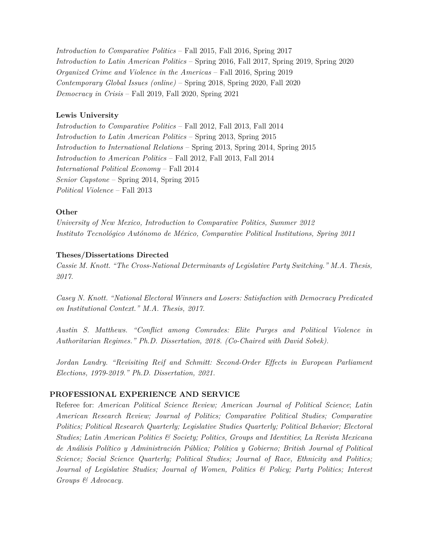*Introduction to Comparative Politics* – Fall 2015, Fall 2016, Spring 2017 *Introduction to Latin American Politics* – Spring 2016, Fall 2017, Spring 2019, Spring 2020  *Organized Crime and Violence in the Americas* – Fall 2016, Spring 2019  *Contemporary Global Issues (online)* – Spring 2018, Spring 2020, Fall 2020  *Democracy in Crisis* – Fall 2019, Fall 2020, Spring 2021

### **Lewis University**

 *Introduction to Comparative Politics* – Fall 2012, Fall 2013, Fall 2014 *Introduction to American Politics* – Fall 2012, Fall 2013, Fall 2014  *Political Violence* – Fall 2013 *Introduction to Latin American Politics* – Spring 2013, Spring 2015 *Introduction to International Relations* – Spring 2013, Spring 2014, Spring 2015 *International Political Economy* – Fall 2014 *Senior Capstone* – Spring 2014, Spring 2015

### **Other**

*University of New Mexico, Introduction to Comparative Politics, Summer 2012 Instituto Tecnológico Autónomo de México, Comparative Political Institutions, Spring 2011* 

## **Theses/Dissertations Directed**

 *Cassie M. Knott. "The Cross-National Determinants of Legislative Party Switching." M.A. Thesis, 2017.* 

 *Casey N. Knott. "National Electoral Winners and Losers: Satisfaction with Democracy Predicated on Institutional Context." M.A. Thesis, 2017.* 

 *Austin S. Matthews. "Conflict among Comrades: Elite Purges and Political Violence in Authoritarian Regimes." Ph.D. Dissertation, 2018. (Co-Chaired with David Sobek).* 

 *Jordan Landry. "Revisiting Reif and Schmitt: Second-Order Effects in European Parliament Elections, 1979-2019." Ph.D. Dissertation, 2021.* 

# **PROFESSIONAL EXPERIENCE AND SERVICE**

 Referee for: *American Political Science Review; American Journal of Political Science*; *Latin American Research Review; Journal of Politics; Comparative Political Studies; Comparative Politics; Political Research Quarterly; Legislative Studies Quarterly; Political Behavior; Electoral Studies; Latin American Politics & Society; Politics, Groups and Identities*; *La Revista Mexicana de Análisis Político y Administración Pública; Política y Gobierno; British Journal of Political Science; Social Science Quarterly; Political Studies; Journal of Race, Ethnicity and Politics; Journal of Legislative Studies; Journal of Women, Politics & Policy; Party Politics; Interest Groups & Advocacy.*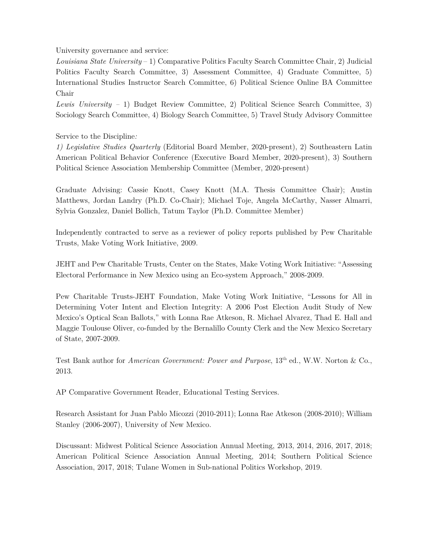University governance and service:

 *Louisiana State University* – 1) Comparative Politics Faculty Search Committee Chair, 2) Judicial Politics Faculty Search Committee, 3) Assessment Committee, 4) Graduate Committee, 5) International Studies Instructor Search Committee, 6) Political Science Online BA Committee Chair

 *Lewis University –* 1) Budget Review Committee, 2) Political Science Search Committee, 3) Sociology Search Committee, 4) Biology Search Committee, 5) Travel Study Advisory Committee

# Service to the Discipline*:*

 *1) Legislative Studies Quarterly* (Editorial Board Member, 2020-present), 2) Southeastern Latin American Political Behavior Conference (Executive Board Member, 2020-present), 3) Southern Political Science Association Membership Committee (Member, 2020-present)

 Matthews, Jordan Landry (Ph.D. Co-Chair); Michael Toje, Angela McCarthy, Nasser Almarri, Sylvia Gonzalez, Daniel Bollich, Tatum Taylor (Ph.D. Committee Member) Graduate Advising: Cassie Knott, Casey Knott (M.A. Thesis Committee Chair); Austin

 Independently contracted to serve as a reviewer of policy reports published by Pew Charitable Trusts, Make Voting Work Initiative, 2009.

 JEHT and Pew Charitable Trusts, Center on the States, Make Voting Work Initiative: "Assessing Electoral Performance in New Mexico using an Eco-system Approach," 2008-2009.

 Determining Voter Intent and Election Integrity: A 2006 Post Election Audit Study of New Mexico's Optical Scan Ballots," with Lonna Rae Atkeson, R. Michael Alvarez, Thad E. Hall and Maggie Toulouse Oliver, co-funded by the Bernalillo County Clerk and the New Mexico Secretary of State, 2007-2009. Pew Charitable Trusts-JEHT Foundation, Make Voting Work Initiative, "Lessons for All in

 Test Bank author for *American Government: Power and Purpose*, 13th ed., W.W. Norton & Co., 2013.

AP Comparative Government Reader, Educational Testing Services.

 Research Assistant for Juan Pablo Micozzi (2010-2011); Lonna Rae Atkeson (2008-2010); William Stanley (2006-2007), University of New Mexico.

 Discussant: Midwest Political Science Association Annual Meeting, 2013, 2014, 2016, 2017, 2018; American Political Science Association Annual Meeting, 2014; Southern Political Science Association, 2017, 2018; Tulane Women in Sub-national Politics Workshop, 2019.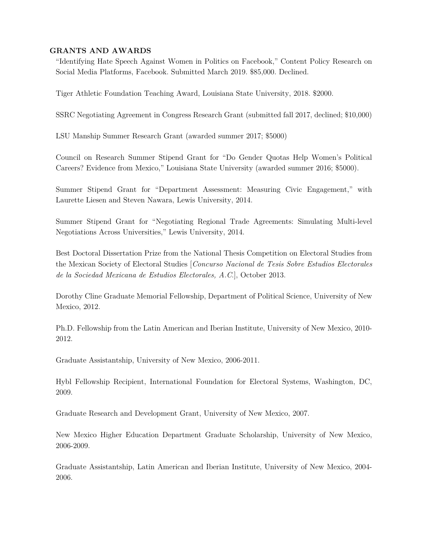### **GRANTS AND AWARDS**

 "Identifying Hate Speech Against Women in Politics on Facebook," Content Policy Research on Social Media Platforms, Facebook. Submitted March 2019. \$85,000. Declined.

Tiger Athletic Foundation Teaching Award, Louisiana State University, 2018. \$2000.

SSRC Negotiating Agreement in Congress Research Grant (submitted fall 2017, declined; \$10,000)

LSU Manship Summer Research Grant (awarded summer 2017; \$5000)

 Council on Research Summer Stipend Grant for "Do Gender Quotas Help Women's Political Careers? Evidence from Mexico," Louisiana State University (awarded summer 2016; \$5000).

 Summer Stipend Grant for "Department Assessment: Measuring Civic Engagement," with Laurette Liesen and Steven Nawara, Lewis University, 2014.

 Summer Stipend Grant for "Negotiating Regional Trade Agreements: Simulating Multi-level Negotiations Across Universities," Lewis University, 2014.

 Best Doctoral Dissertation Prize from the National Thesis Competition on Electoral Studies from the Mexican Society of Electoral Studies [*Concurso Nacional de Tesis Sobre Estudios Electorales de la Sociedad Mexicana de Estudios Electorales, A.C*.], October 2013.

 Dorothy Cline Graduate Memorial Fellowship, Department of Political Science, University of New Mexico, 2012.

 Ph.D. Fellowship from the Latin American and Iberian Institute, University of New Mexico, 2010- 2012.

Graduate Assistantship, University of New Mexico, 2006-2011.

 Hybl Fellowship Recipient, International Foundation for Electoral Systems, Washington, DC, 2009.

Graduate Research and Development Grant, University of New Mexico, 2007.

 New Mexico Higher Education Department Graduate Scholarship, University of New Mexico, 2006-2009.

 Graduate Assistantship, Latin American and Iberian Institute, University of New Mexico, 2004- 2006.